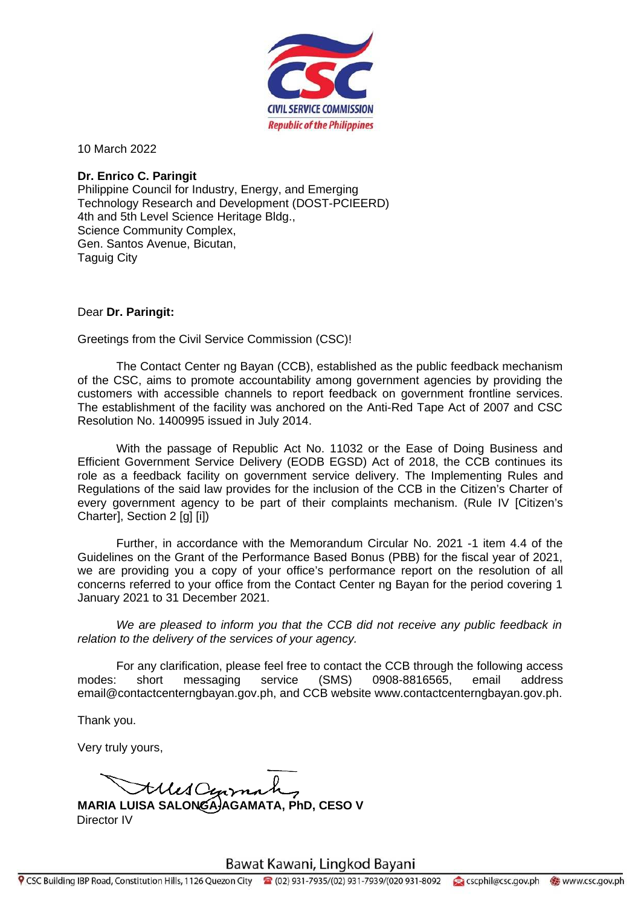

10 March 2022

## **Dr. Enrico C. Paringit**

Philippine Council for Industry, Energy, and Emerging Technology Research and Development (DOST-PCIEERD) 4th and 5th Level Science Heritage Bldg., Science Community Complex, Gen. Santos Avenue, Bicutan, Taguig City

## Dear **Dr. Paringit:**

Greetings from the Civil Service Commission (CSC)!

The Contact Center ng Bayan (CCB), established as the public feedback mechanism of the CSC, aims to promote accountability among government agencies by providing the customers with accessible channels to report feedback on government frontline services. The establishment of the facility was anchored on the Anti-Red Tape Act of 2007 and CSC Resolution No. 1400995 issued in July 2014.

With the passage of Republic Act No. 11032 or the Ease of Doing Business and Efficient Government Service Delivery (EODB EGSD) Act of 2018, the CCB continues its role as a feedback facility on government service delivery. The Implementing Rules and Regulations of the said law provides for the inclusion of the CCB in the Citizen's Charter of every government agency to be part of their complaints mechanism. (Rule IV [Citizen's Charter], Section 2 [g] [i])

Further, in accordance with the Memorandum Circular No. 2021 -1 item 4.4 of the Guidelines on the Grant of the Performance Based Bonus (PBB) for the fiscal year of 2021, we are providing you a copy of your office's performance report on the resolution of all concerns referred to your office from the Contact Center ng Bayan for the period covering 1 January 2021 to 31 December 2021.

*We are pleased to inform you that the CCB did not receive any public feedback in relation to the delivery of the services of your agency.*

For any clarification, please feel free to contact the CCB through the following access modes: short messaging service (SMS) 0908-8816565, email address email@contactcenterngbayan.gov.ph, and CCB website www.contactcenterngbayan.gov.ph.

Thank you.

Very truly yours,

Alles Cenzo

**MARIA LUISA SALONGA-AGAMATA, PhD, CESO V** Director IV

Bawat Kawani, Lingkod Bayani